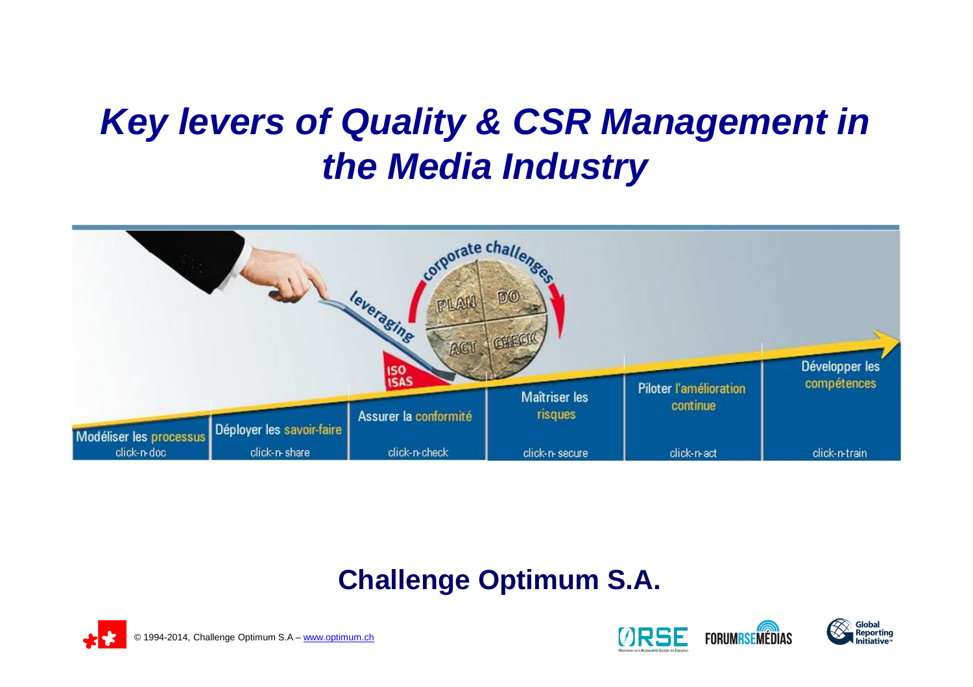# **Key levers of Quality & CSR Management in the Media Industry**



### **Challenge Optimum S.A.**





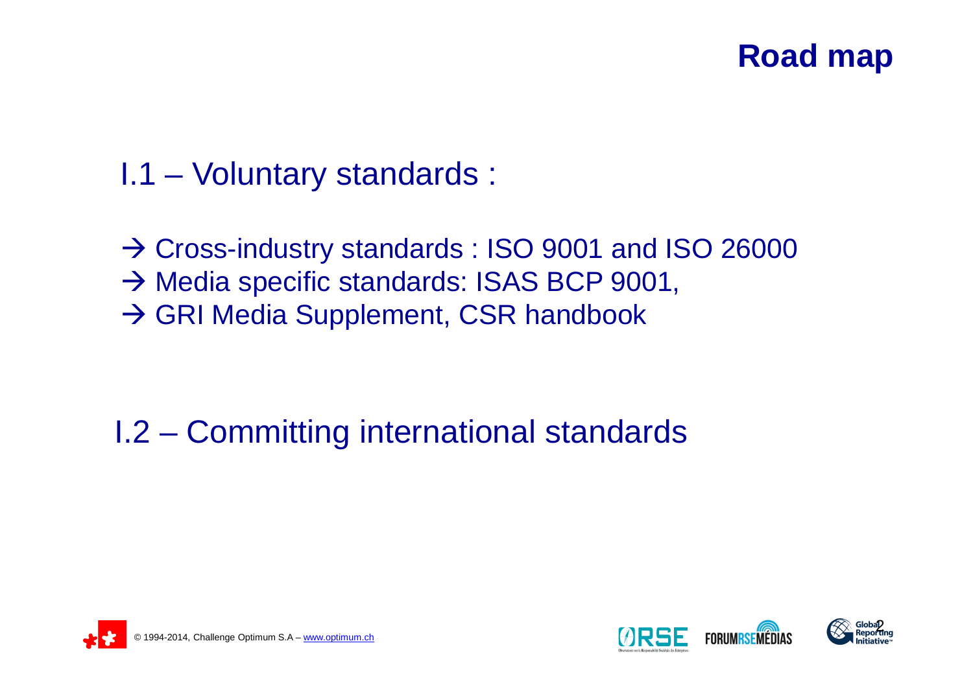### **Road map**

- I.1 Voluntary standards :
- → Cross-industry standards : ISO 9001 and ISO 26000<br>→ Media specific standards: ISAS BCP 9001 → Media specific standards: ISAS BCP 9001,<br>→ GRI Media Supplement, CSR handbook → GRI Media Supplement, CSR handbook

### I.2 – Committing international standards





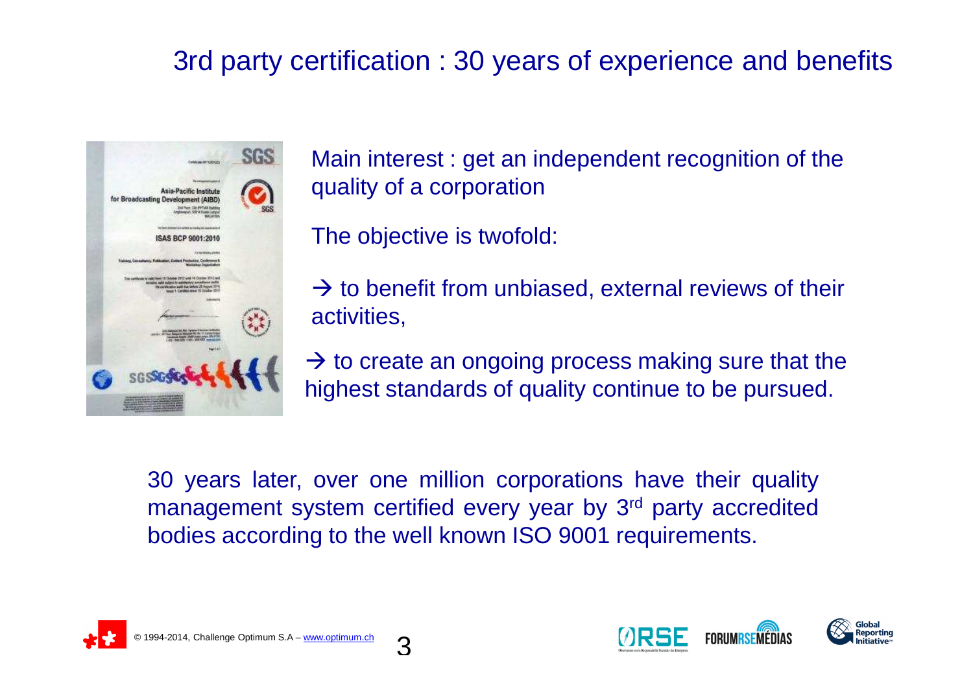### 3rd party certification : 30 years of experience and benefits



Main interest : get an independent recognition of the quality of a corporation

The objective is twofold:

 $\rightarrow$  to benefit from unbiased, external reviews of their<br>activities activities,

 $\rightarrow$  to create an ongoing process making sure that the highest standards of quality continue to be pursued highest standards of quality continue to be pursued.

30 years later, over one million corporations have their qualitymanagement system certified every year by 3<sup>rd</sup> party accredited<br>hodies according to the well known ISO 0001 requirements bodies according to the well known ISO 9001 requirements.

3





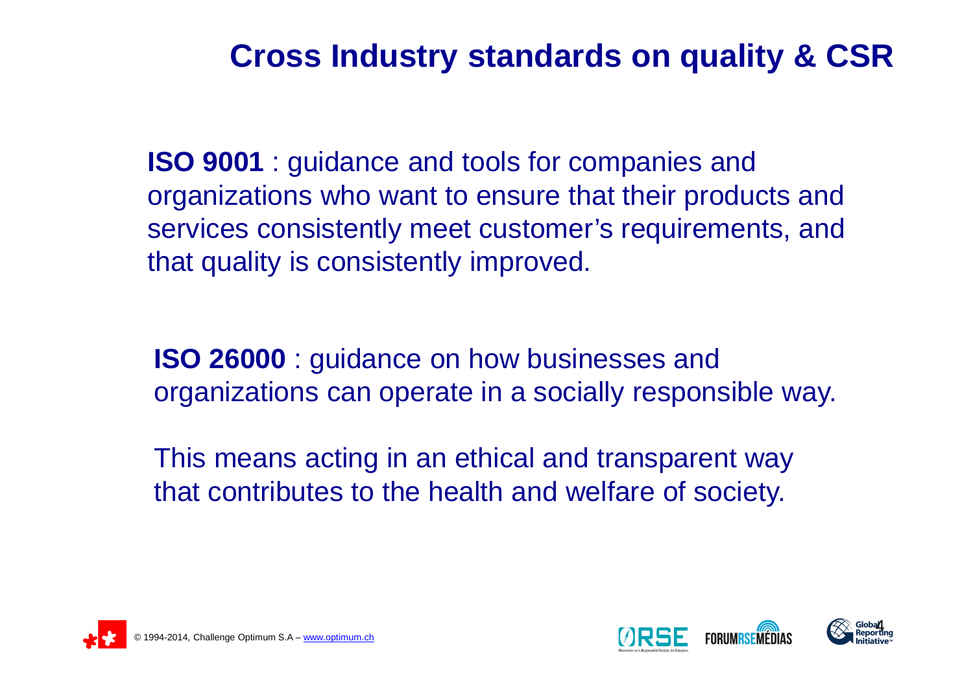### **Cross Industry standards on quality & CSR**

**ISO 9001** : guidance and tools for companies and organizations who want to ensure that their products and services consistently meet customer's requirements, and that quality is consistently improved.

**ISO 26000** : guidance on how businesses and organizations can operate in a socially responsible way.

This means acting in an ethical and transparent way that contributes to the health and welfare of society.



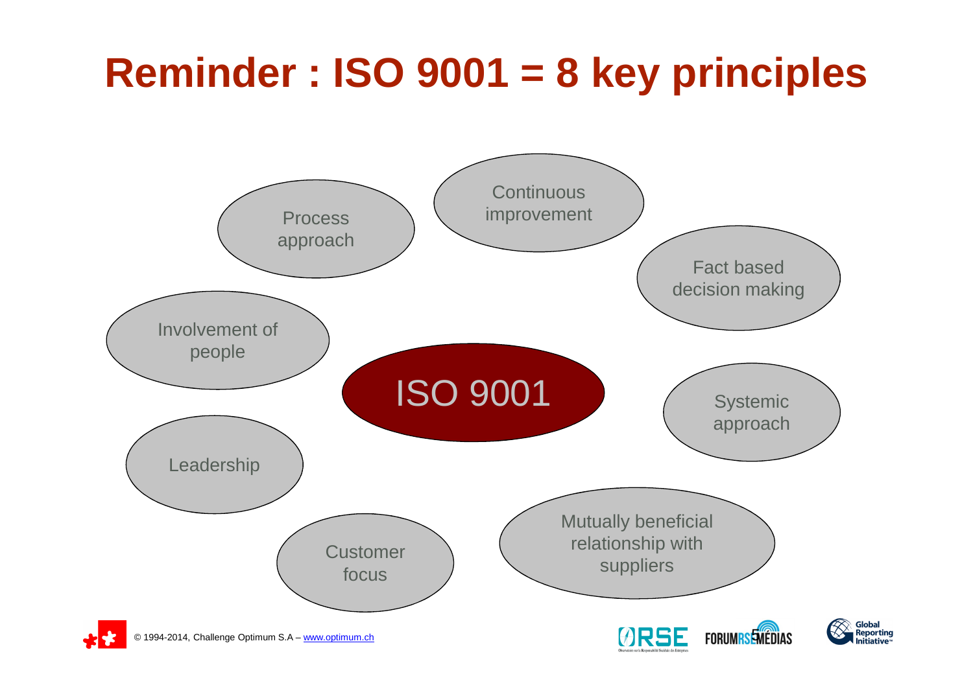# **Reminder : ISO 9001 = 8 key principles**

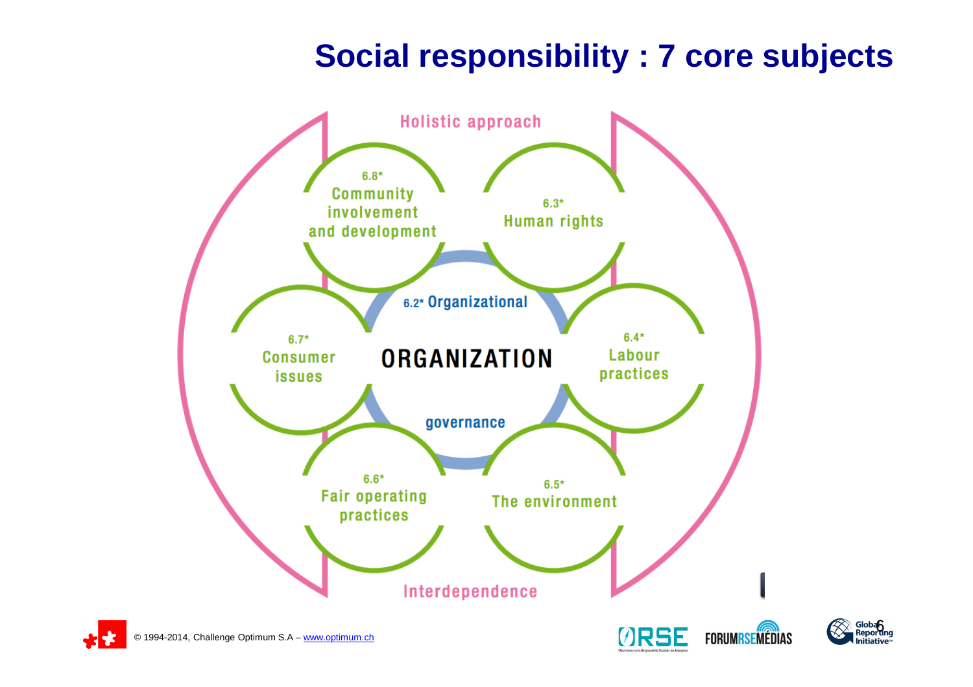### **Social responsibility : 7 core subjects**



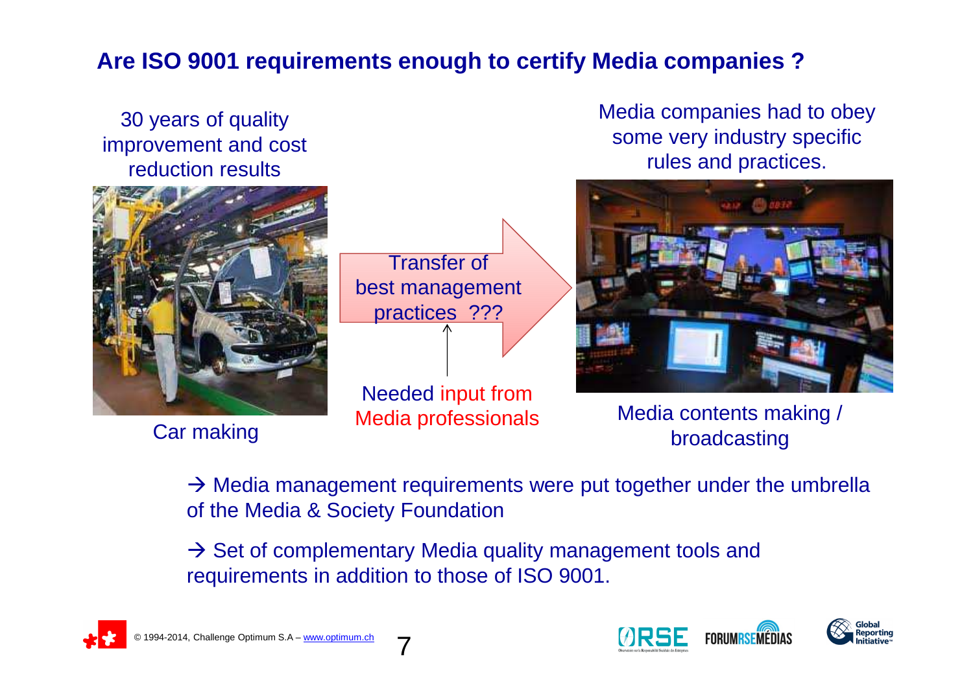#### **Are ISO 9001 requirements enough to certify Media companies ?**

#### 30 years of quality improvement and cost reduction results



Car making

Transfer of best management practices ???

Needed input from Media professionals Media companies had to obey some very industry specific rules and practices.



Media contents making /<br>broadcasting

 $\rightarrow$  Media management requirements were put together under the umbrella<br>of the Media & Society Foundation of the Media & Society Foundation

→ Set of complementary Media quality management tools and<br>requirements in addition to those of ISO 9001 requirements in addition to those of ISO 9001.

7



![](_page_6_Picture_13.jpeg)

![](_page_6_Picture_14.jpeg)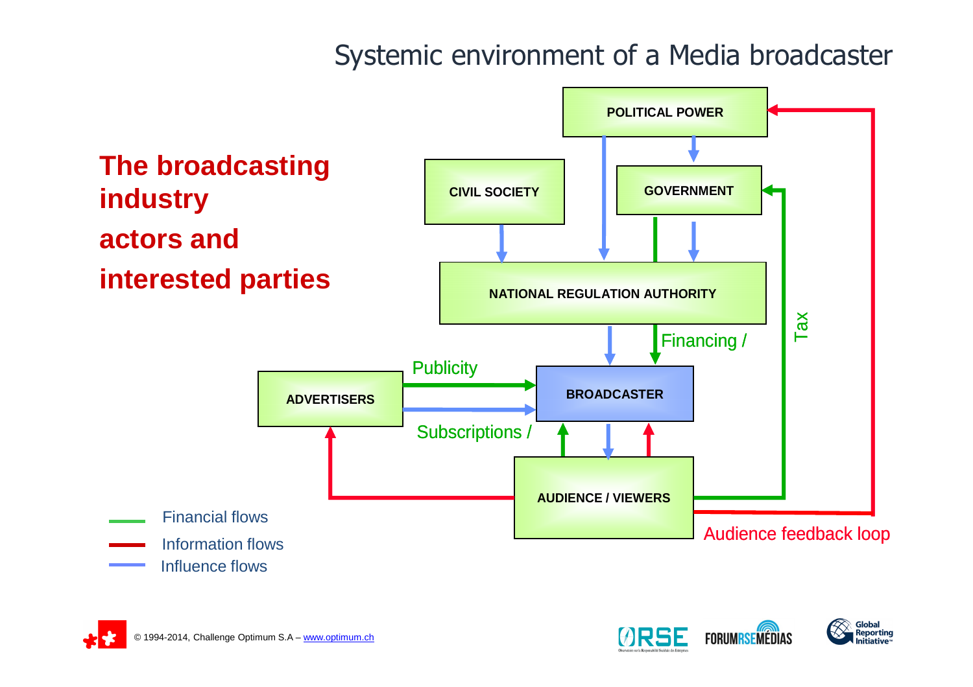### Systemic environment of a Media broadcaster

![](_page_7_Figure_1.jpeg)

![](_page_7_Picture_2.jpeg)

![](_page_7_Picture_3.jpeg)

![](_page_7_Picture_4.jpeg)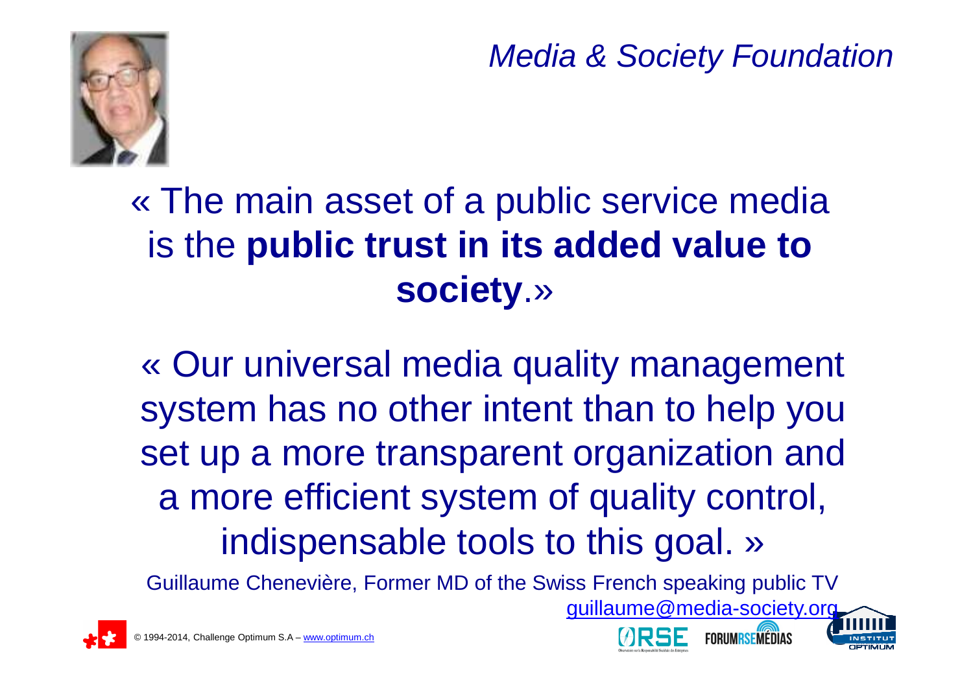Media & Society Foundation

guillaume@media-society.org

![](_page_8_Picture_1.jpeg)

# « The main asset of a public service media is the **public trust in its added value to society**.»

« Our universal media quality management system has no other intent than to help you set up a more transparent organization and a more efficient system of quality control, indispensable tools to this goal. »

Guillaume Chenevière, Former MD of the Swiss French speaking public TV

![](_page_8_Picture_5.jpeg)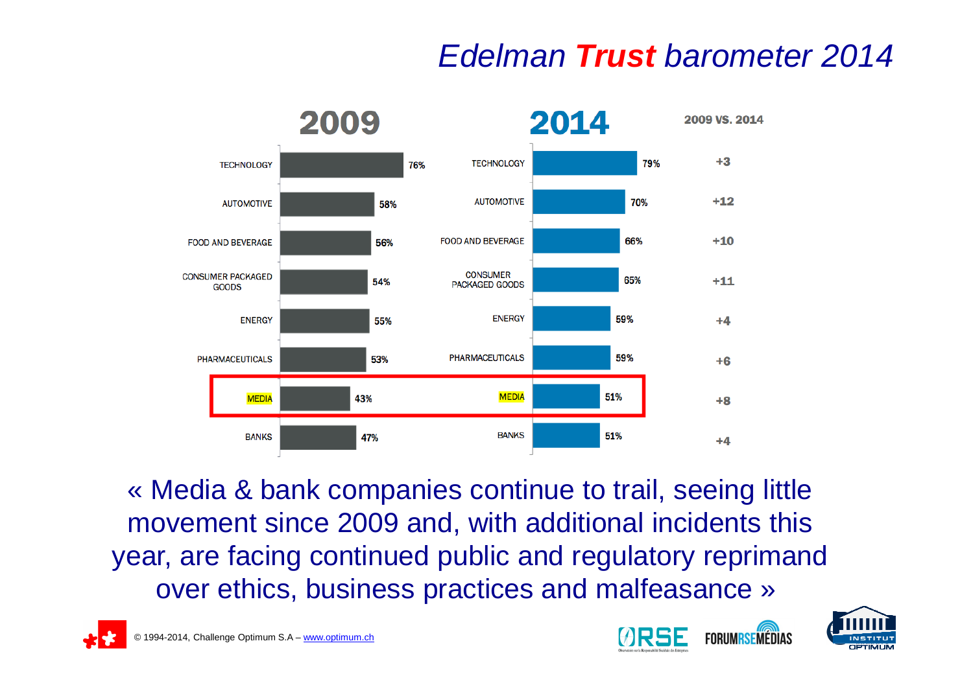## Edelman **Trust** barometer 2014

![](_page_9_Figure_1.jpeg)

« Media & bank companies continue to trail, seeing little movement since 2009 and, with additional incidents this year, are facing continued public and regulatory reprimand over ethics, business practices and malfeasance »

![](_page_9_Picture_3.jpeg)

![](_page_9_Picture_5.jpeg)

![](_page_9_Picture_6.jpeg)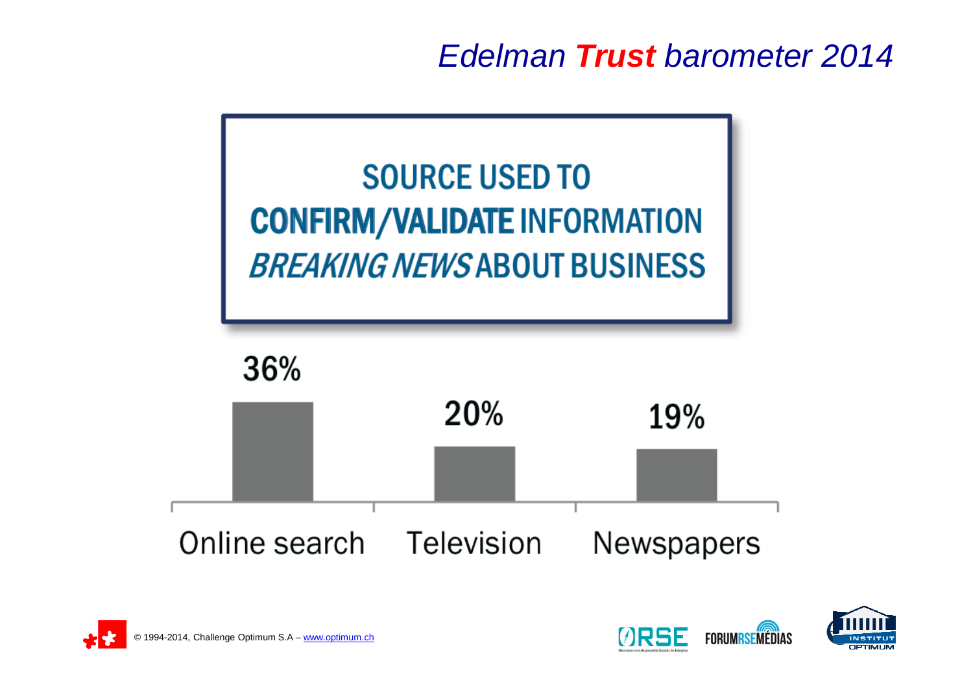Edelman **Trust** barometer 2014

![](_page_10_Figure_1.jpeg)

![](_page_10_Picture_2.jpeg)

![](_page_10_Picture_3.jpeg)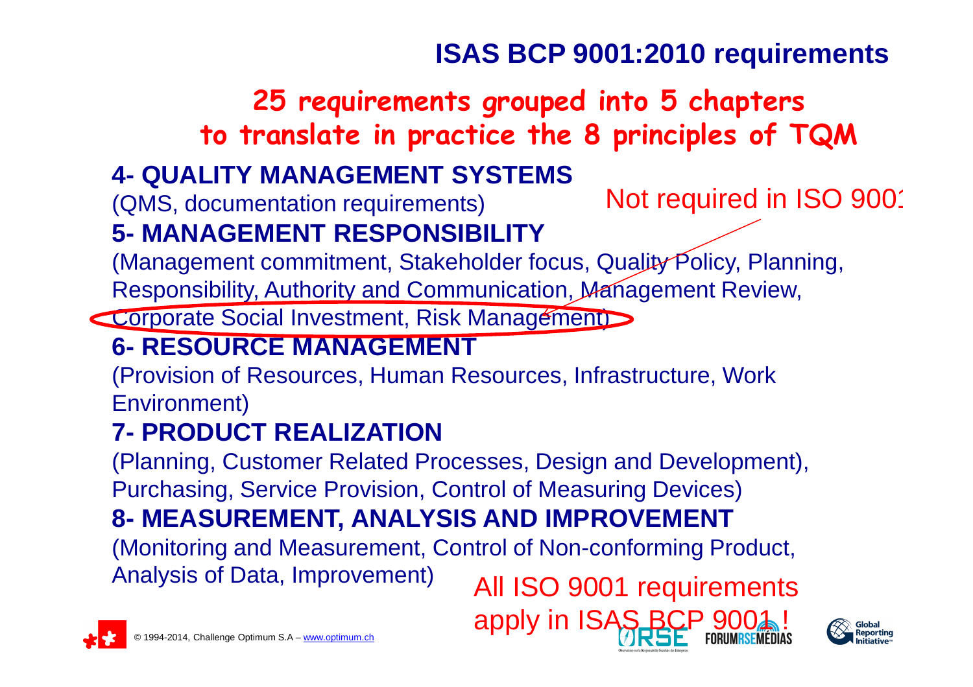### **ISAS BCP 9001:2010 requirements**

### **25 requirements grouped into 5 chapters to translate in practice the 8 principles of TQM**

#### **4- QUALITY MANAGEMENT SYSTEMS**

(QMS, documentation requirements)

Not required in ISO 900<sup>-</sup>

#### **5- MANAGEMENT RESPONSIBILITY**

 (Management commitment, Stakeholder focus, Quality Policy, Planning, Responsibility, Authority and Communication, Management Review,

Corporate Social Investment, Risk Management

#### **6- RESOURCE MANAGEMENT**

 (Provision of Resources, Human Resources, Infrastructure, Work Environment)

#### **7- PRODUCT REALIZATION**

 (Planning, Customer Related Processes, Design and Development), Purchasing, Service Provision, Control of Measuring Devices)

### **8- MEASUREMENT, ANALYSIS AND IMPROVEMENT**

 (Monitoring and Measurement, Control of Non-conforming Product, Analysis of Data, Improvement)

All ISO 9001 requirements

![](_page_11_Picture_15.jpeg)

![](_page_11_Picture_16.jpeg)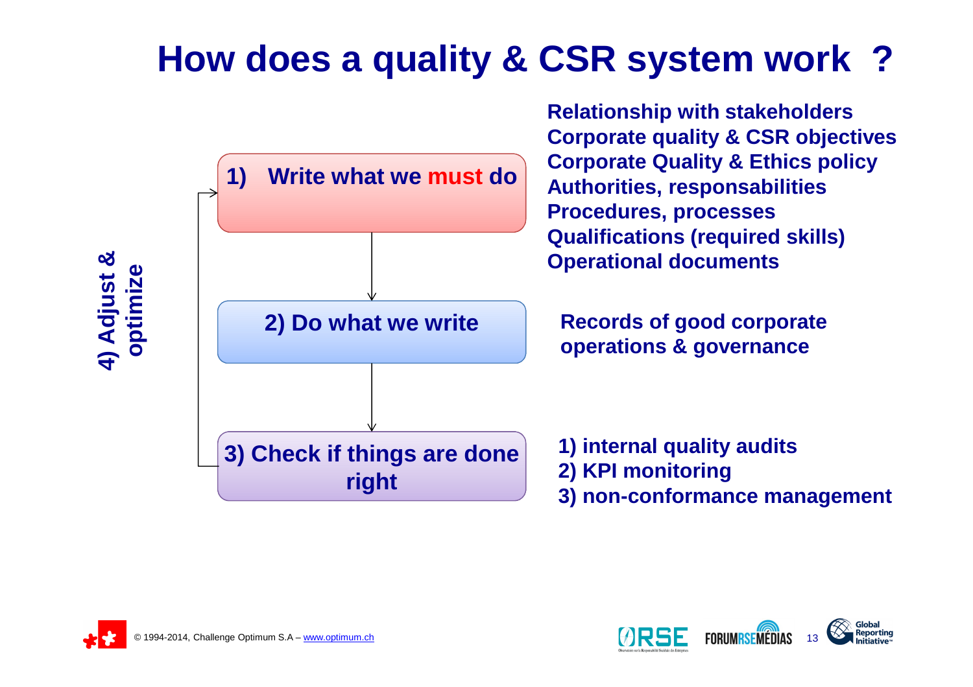# **How does a quality & CSR system work ?**

![](_page_12_Figure_1.jpeg)

![](_page_12_Picture_2.jpeg)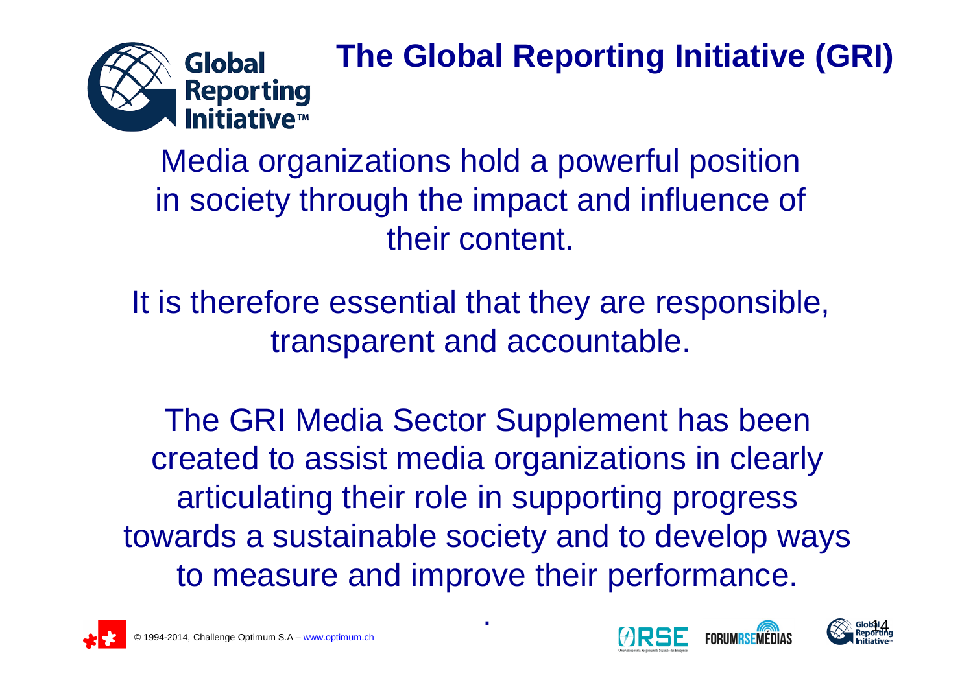![](_page_13_Picture_0.jpeg)

# **The Global Reporting Initiative (GRI)**

Media organizations hold a powerful position in society through the impact and influence oftheir content.

It is therefore essential that they are responsible, transparent and accountable.

The GRI Media Sector Supplement has been created to assist media organizations in clearly articulating their role in supporting progress towards a sustainable society and to develop ways to measure and improve their performance.

.

![](_page_13_Picture_5.jpeg)

![](_page_13_Picture_7.jpeg)

![](_page_13_Picture_8.jpeg)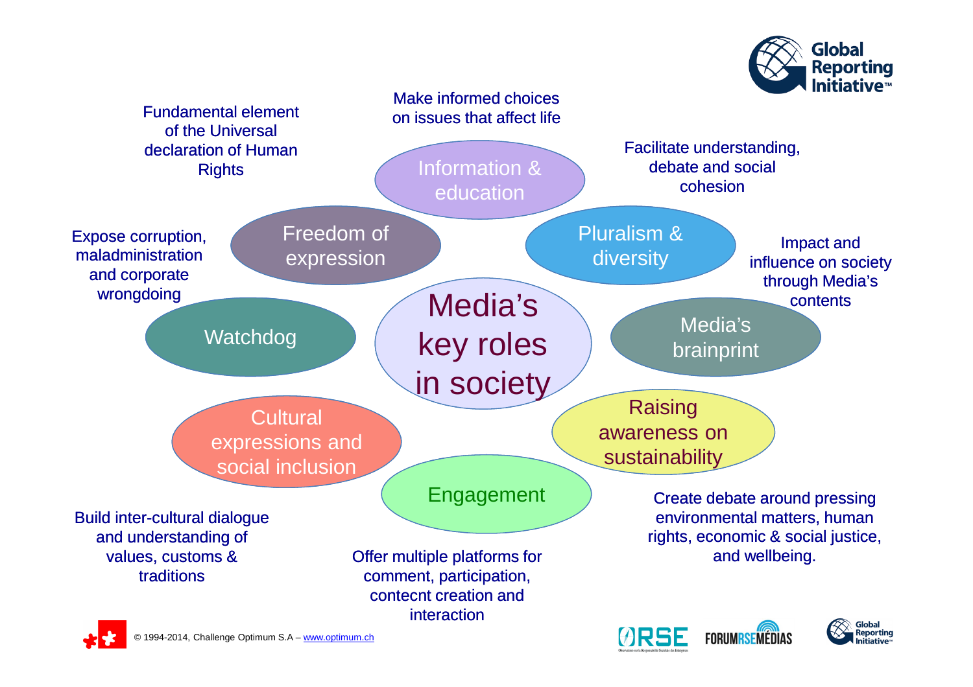![](_page_14_Picture_0.jpeg)

![](_page_14_Figure_1.jpeg)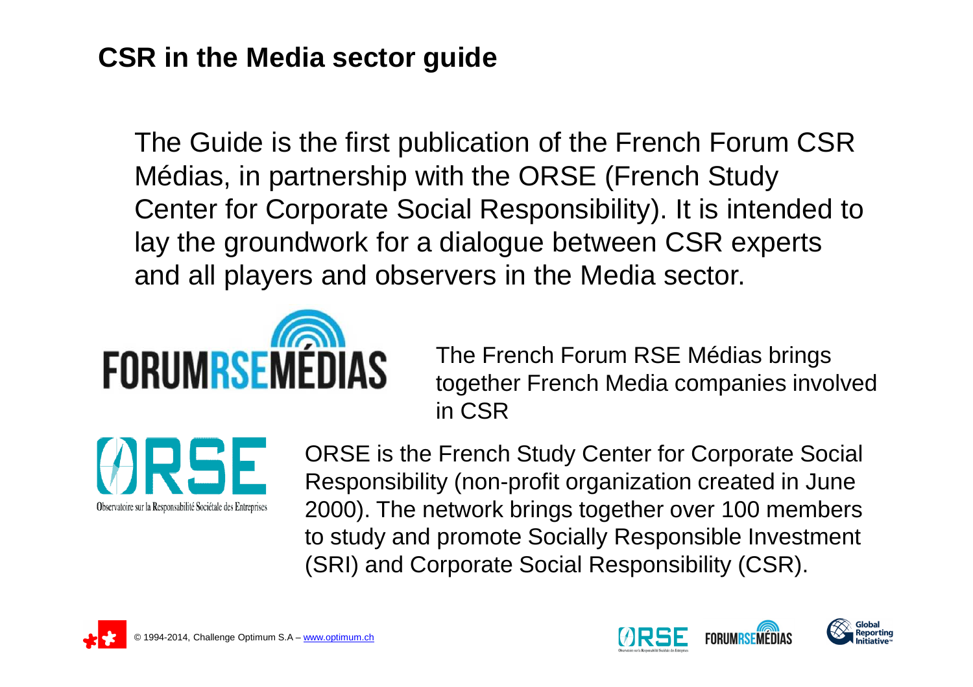#### **CSR in the Media sector guide**

The Guide is the first publication of the French Forum CSR Médias, in partnership with the ORSE (French Study Center for Corporate Social Responsibility). It is intended to lay the groundwork for a dialogue between CSR experts and all players and observers in the Media sector.

![](_page_15_Picture_2.jpeg)

The French Forum RSE Médias brings together French Media companies involved in CSR

![](_page_15_Picture_4.jpeg)

ORSE is the French Study Center for Corporate Social Responsibility (non-profit organization created in June 2000). The network brings together over 100 members to study and promote Socially Responsible Investment (SRI) and Corporate Social Responsibility (CSR).

![](_page_15_Picture_6.jpeg)

![](_page_15_Picture_8.jpeg)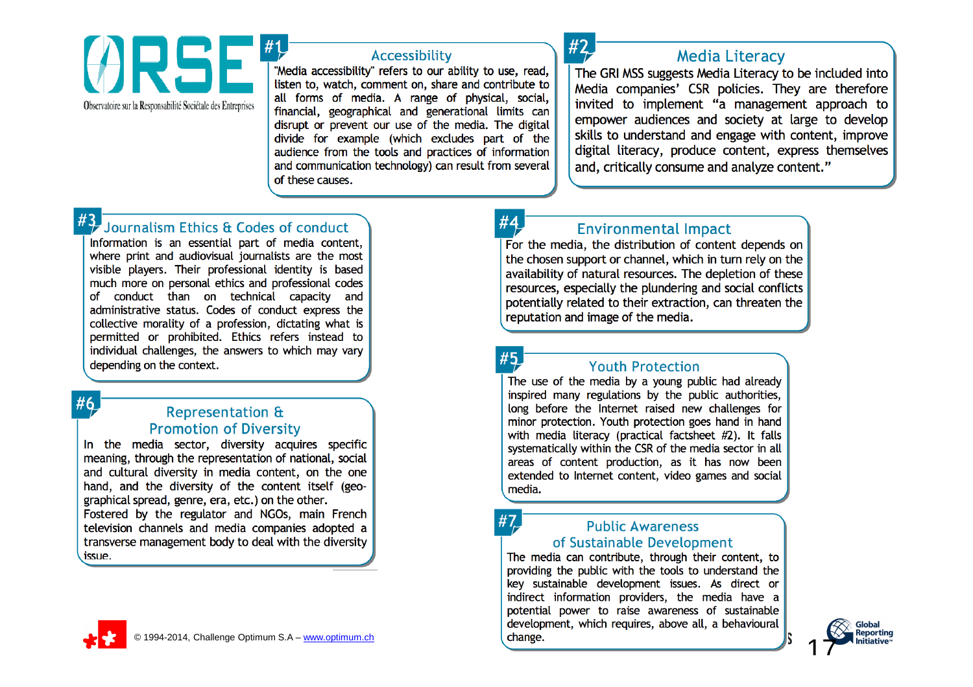![](_page_16_Picture_0.jpeg)

#### Accessibility

"Media accessibility" refers to our ability to use, read, listen to, watch, comment on, share and contribute to all forms of media. A range of physical, social, financial, geographical and generational limits can disrupt or prevent our use of the media. The digital divide for example (which excludes part of the audience from the tools and practices of information and communication technology) can result from several of these causes.

![](_page_16_Picture_3.jpeg)

#### **Media Literacy**

The GRI MSS suggests Media Literacy to be included into Media companies' CSR policies. They are therefore invited to implement "a management approach to empower audiences and society at large to develop skills to understand and engage with content, improve digital literacy, produce content, express themselves and, critically consume and analyze content."

#### Journalism Ethics & Codes of conduct

Information is an essential part of media content, where print and audiovisual journalists are the most visible players. Their professional identity is based much more on personal ethics and professional codes of conduct than on technical capacity and administrative status. Codes of conduct express the collective morality of a profession, dictating what is permitted or prohibited. Ethics refers instead to individual challenges, the answers to which may vary depending on the context.

#### #6

#### **Representation & Promotion of Diversity**

In the media sector, diversity acquires specific meaning, through the representation of national, social and cultural diversity in media content, on the one hand, and the diversity of the content itself (geographical spread, genre, era, etc.) on the other. Fostered by the regulator and NGOs, main French television channels and media companies adopted a transverse management body to deal with the diversity issue.

#### **Environmental Impact**

For the media, the distribution of content depends on the chosen support or channel, which in turn rely on the availability of natural resources. The depletion of these resources, especially the plundering and social conflicts potentially related to their extraction, can threaten the reputation and image of the media.

 $#7$ 

#### **Youth Protection**

The use of the media by a young public had already inspired many regulations by the public authorities, long before the Internet raised new challenges for minor protection. Youth protection goes hand in hand with media literacy (practical factsheet #2). It falls systematically within the CSR of the media sector in all areas of content production, as it has now been extended to Internet content, video games and social media.

#### **Public Awareness** of Sustainable Development

The media can contribute, through their content, to providing the public with the tools to understand the key sustainable development issues. As direct or indirect information providers, the media have a potential power to raise awareness of sustainable development, which requires, above all, a behavioural - www.optimum.ch 17

![](_page_16_Picture_18.jpeg)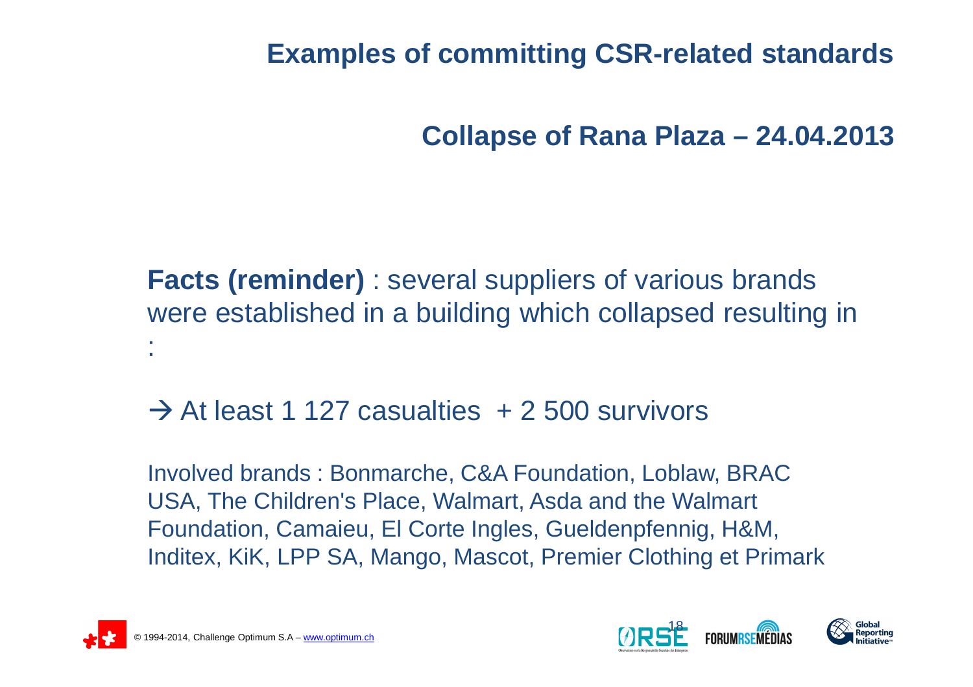**Examples of committing CSR-related standards**

**Collapse of Rana Plaza – 24.04.2013**

**Facts (reminder)** : several suppliers of various brands were established in a building which collapsed resulting in :

# $\rightarrow$  At least 1 127 casualties + 2 500 survivors

Involved brands : Bonmarche, C&A Foundation, Loblaw, BRAC USA, The Children's Place, Walmart, Asda and the Walmart Foundation, Camaieu, El Corte Ingles, Gueldenpfennig, H&M, Inditex, KiK, LPP SA, Mango, Mascot, Premier Clothing et Primark

![](_page_17_Picture_5.jpeg)

![](_page_17_Picture_6.jpeg)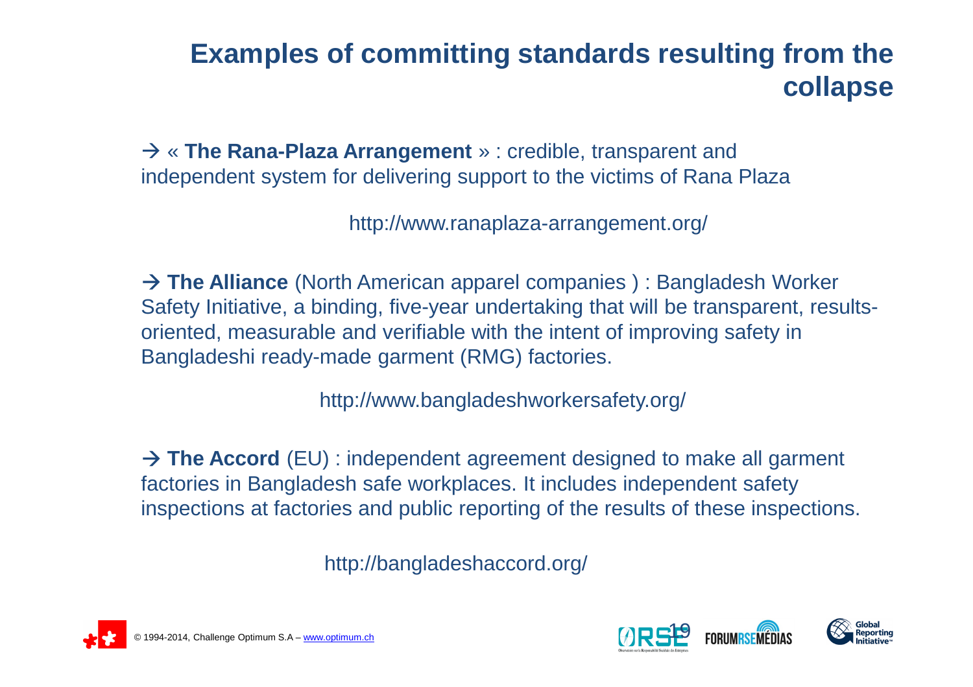### **Examples of committing standards resulting from thecollapse**

 « **The Rana-Plaza Arrangement** » : credible, transparent and independent system for delivering support to the victims of Rana Plaza

http://www.ranaplaza-arrangement.org/

→ **The Alliance** (North American apparel companies ) : Bangladesh Worker<br>Safety Initiative, a binding, five-vear undertaking that will be transparent, resu Safety Initiative, a binding, five-year undertaking that will be transparent, resultsoriented, measurable and verifiable with the intent of improving safety in Bangladeshi ready-made garment (RMG) factories.

http://www.bangladeshworkersafety.org/

**→ The Accord** (EU) : independent agreement designed to make all garment<br>factories in Bangladesh safe workplaces. It includes independent safety factories in Bangladesh safe workplaces. It includes independent safety inspections at factories and public reporting of the results of these inspections.

http://bangladeshaccord.org/

![](_page_18_Picture_7.jpeg)

![](_page_18_Picture_8.jpeg)